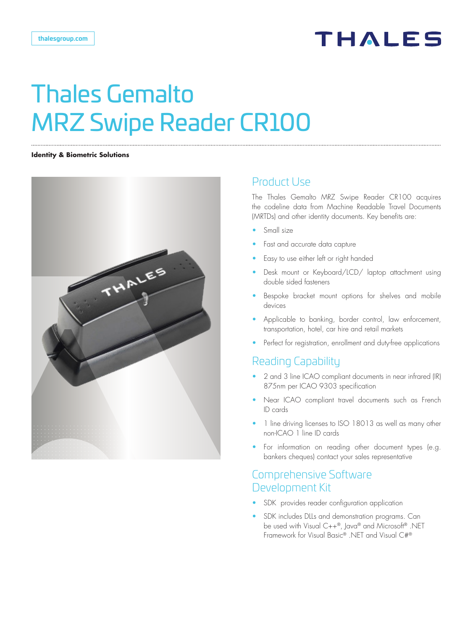

#### **Identity & Biometric Solutions**



## Product Use

The Thales Gemalto MRZ Swipe Reader CR100 acquires the codeline data from Machine Readable Travel Documents (MRTDs) and other identity documents. Key benefits are:

- Small size
- Fast and accurate data capture
- Easy to use either left or right handed
- Desk mount or Keyboard/LCD/ laptop attachment using double sided fasteners
- Bespoke bracket mount options for shelves and mobile devices
- Applicable to banking, border control, law enforcement, transportation, hotel, car hire and retail markets
- Perfect for registration, enrollment and duty-free applications

# Reading Capability

- 2 and 3 line ICAO compliant documents in near infrared (IR) 875nm per ICAO 9303 specification
- Near ICAO compliant travel documents such as French ID cards
- 1 line driving licenses to ISO 18013 as well as many other non-ICAO 1 line ID cards
- For information on reading other document types (e.g. bankers cheques) contact your sales representative

## Comprehensive Software Development Kit

- SDK provides reader configuration application
- SDK includes DLLs and demonstration programs. Can be used with Visual C++®, Java® and Microsoft® .NET Framework for Visual Basic® .NET and Visual C#®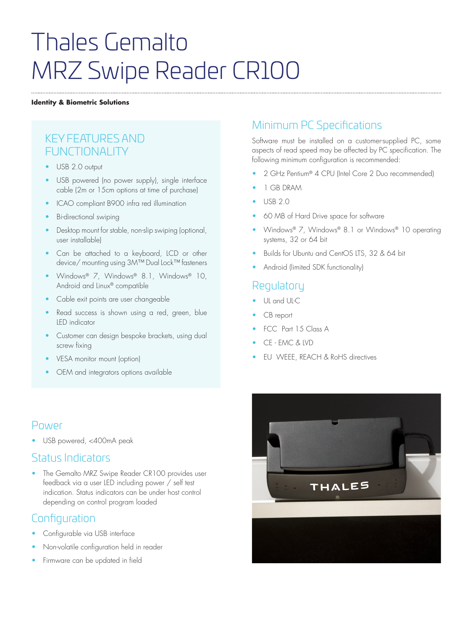### **Identity & Biometric Solutions**

# KEY FEATURES AND FUNCTIONALITY

- USB 2.0 output
- USB powered (no power supply), single interface cable (2m or 15cm options at time of purchase)
- ICAO compliant B900 infra red illumination
- Bi-directional swiping
- Desktop mount for stable, non-slip swiping (optional, user installable)
- Can be attached to a keyboard, LCD or other device/ mounting using 3M™ Dual Lock™ fasteners
- Windows® 7, Windows® 8.1, Windows® 10, Android and Linux® compatible
- Cable exit points are user changeable
- Read success is shown using a red, green, blue LED indicator
- Customer can design bespoke brackets, using dual screw fixing
- VESA monitor mount (option)
- OEM and integrators options available

# Power

• USB powered, <400mA peak

### Status Indicators

The Gemalto MRZ Swipe Reader CR100 provides user feedback via a user LED including power / self test indication. Status indicators can be under host control depending on control program loaded

# **Configuration**

- Configurable via USB interface
- Non-volatile configuration held in reader
- Firmware can be updated in field

# Minimum PC Specifications

Software must be installed on a customer-supplied PC, some aspects of read speed may be affected by PC specification. The following minimum configuration is recommended:

- 2 GHz Pentium® 4 CPU (Intel Core 2 Duo recommended)
- 1 GB DRAM
- USB 2.0
- 60 MB of Hard Drive space for software
- Windows® 7, Windows® 8.1 or Windows® 10 operating systems, 32 or 64 bit
- Builds for Ubuntu and CentOS LTS, 32 & 64 bit
- Android (limited SDK functionality)

# Regulatory

- UL and UL-C
- CB report
- FCC Part 15 Class A
- CE EMC & LVD
- EU WEEE, REACH & RoHS directives

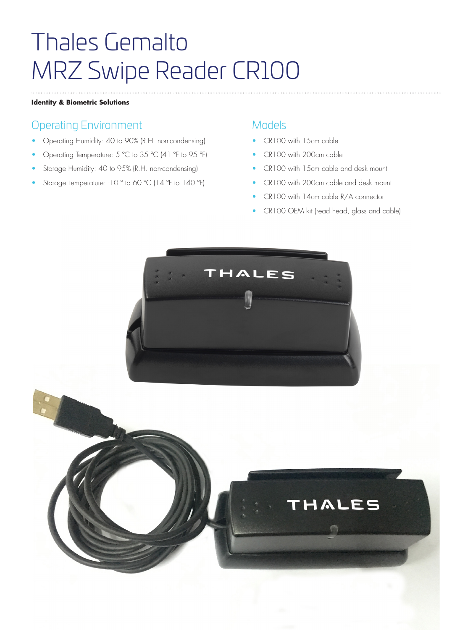### **Identity & Biometric Solutions**

# Operating Environment

- Operating Humidity: 40 to 90% (R.H. non-condensing)
- Operating Temperature: 5 ºC to 35 ºC (41 ºF to 95 ºF)
- Storage Humidity: 40 to 95% (R.H. non-condensing)
- Storage Temperature: -10° to 60 °C (14°F to 140°F)

### Models

- CR100 with 15cm cable
- CR100 with 200cm cable
- CR100 with 15cm cable and desk mount
- CR100 with 200cm cable and desk mount
- CR100 with 14cm cable R/A connector
- CR100 OEM kit (read head, glass and cable)